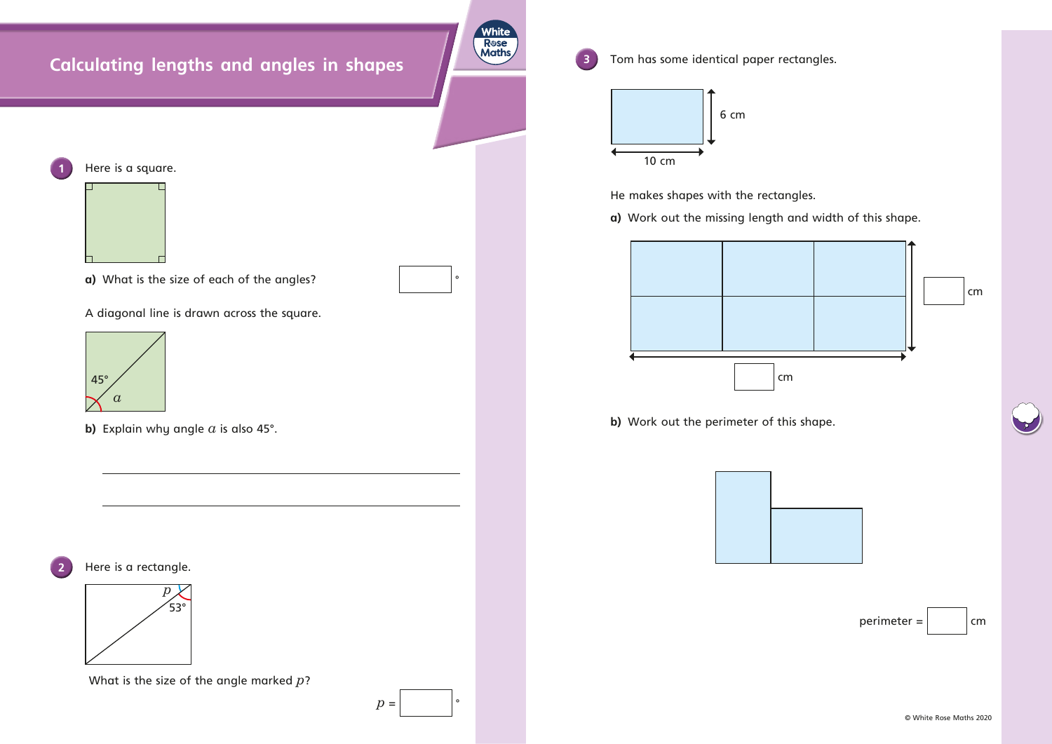## **Calculating lengths and angles in shapes**

**White** R**ose**<br>Maths

**3** Tom has some identical paper rectangles.

- **a)** What is the size of each of the angles?
- A diagonal line is drawn across the square.

**b)** Explain why angle *a* is also 45°.

**2** Here is a rectangle.

What is the size of the angle marked *p*?

 $p =$ 



He makes shapes with the rectangles.

**a)** Work out the missing length and width of this shape.

**b)** Work out the perimeter of this shape.



**1** Here is a square.